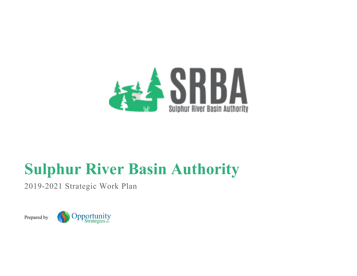

# **Sulphur River Basin Authority**

2019-2021 Strategic Work Plan



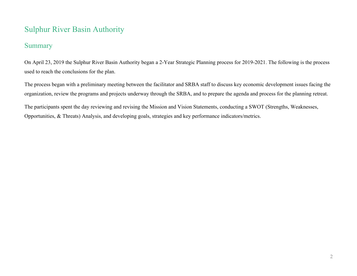# Sulphur River Basin Authority

# Summary

On April 23, 2019 the Sulphur River Basin Authority began a 2-Year Strategic Planning process for 2019-2021. The following is the process used to reach the conclusions for the plan.

The process began with a preliminary meeting between the facilitator and SRBA staff to discuss key economic development issues facing the organization, review the programs and projects underway through the SRBA, and to prepare the agenda and process for the planning retreat.

The participants spent the day reviewing and revising the Mission and Vision Statements, conducting a SWOT (Strengths, Weaknesses, Opportunities, & Threats) Analysis, and developing goals, strategies and key performance indicators/metrics.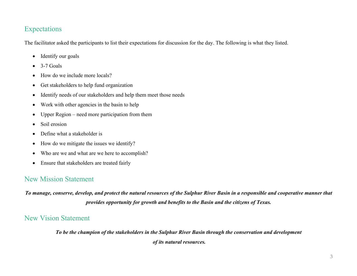# Expectations

The facilitator asked the participants to list their expectations for discussion for the day. The following is what they listed.

- Identify our goals
- $\bullet$  3-7 Goals
- How do we include more locals?
- Get stakeholders to help fund organization
- Identify needs of our stakeholders and help them meet those needs
- Work with other agencies in the basin to help
- Upper Region need more participation from them
- Soil erosion
- Define what a stakeholder is
- How do we mitigate the issues we identify?
- Who are we and what are we here to accomplish?
- Ensure that stakeholders are treated fairly

# New Mission Statement

*To manage, conserve, develop, and protect the natural resources of the Sulphur River Basin in a responsible and cooperative manner that provides opportunity for growth and benefits to the Basin and the citizens of Texas.*

# New Vision Statement

*To be the champion of the stakeholders in the Sulphur River Basin through the conservation and development of its natural resources.*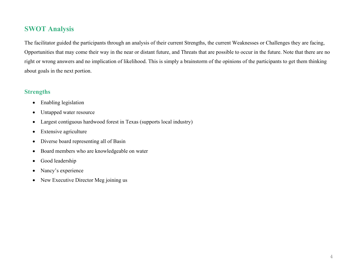# **SWOT Analysis**

The facilitator guided the participants through an analysis of their current Strengths, the current Weaknesses or Challenges they are facing, Opportunities that may come their way in the near or distant future, and Threats that are possible to occur in the future. Note that there are no right or wrong answers and no implication of likelihood. This is simply a brainstorm of the opinions of the participants to get them thinking about goals in the next portion.

## **Strengths**

- Enabling legislation
- Untapped water resource
- Largest contiguous hardwood forest in Texas (supports local industry)
- Extensive agriculture
- Diverse board representing all of Basin
- Board members who are knowledgeable on water
- Good leadership
- Nancy's experience
- New Executive Director Meg joining us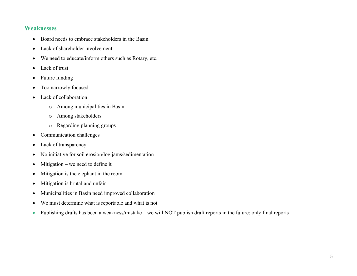#### **Weaknesses**

- Board needs to embrace stakeholders in the Basin
- Lack of shareholder involvement
- We need to educate/inform others such as Rotary, etc.
- Lack of trust
- Future funding
- Too narrowly focused
- Lack of collaboration
	- o Among municipalities in Basin
	- o Among stakeholders
	- o Regarding planning groups
- Communication challenges
- Lack of transparency
- No initiative for soil erosion/log jams/sedimentation
- Mitigation we need to define it
- Mitigation is the elephant in the room
- Mitigation is brutal and unfair
- Municipalities in Basin need improved collaboration
- We must determine what is reportable and what is not
- Publishing drafts has been a weakness/mistake we will NOT publish draft reports in the future; only final reports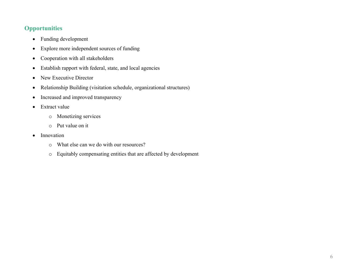## **Opportunities**

- Funding development
- Explore more independent sources of funding
- Cooperation with all stakeholders
- Establish rapport with federal, state, and local agencies
- New Executive Director
- Relationship Building (visitation schedule, organizational structures)
- Increased and improved transparency
- Extract value
	- o Monetizing services
	- o Put value on it
- Innovation
	- o What else can we do with our resources?
	- o Equitably compensating entities that are affected by development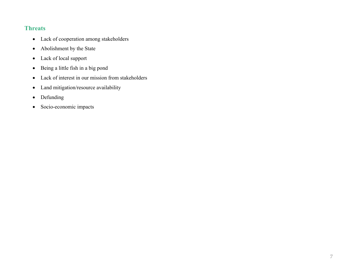## **Threats**

- Lack of cooperation among stakeholders
- Abolishment by the State
- Lack of local support
- Being a little fish in a big pond
- Lack of interest in our mission from stakeholders
- Land mitigation/resource availability
- Defunding
- Socio-economic impacts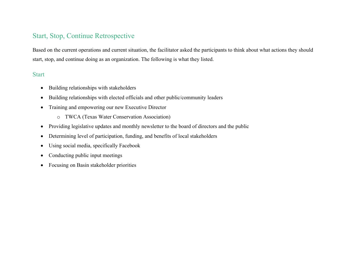# Start, Stop, Continue Retrospective

Based on the current operations and current situation, the facilitator asked the participants to think about what actions they should start, stop, and continue doing as an organization. The following is what they listed.

#### Start

- Building relationships with stakeholders
- Building relationships with elected officials and other public/community leaders
- Training and empowering our new Executive Director
	- o TWCA (Texas Water Conservation Association)
- Providing legislative updates and monthly newsletter to the board of directors and the public
- Determining level of participation, funding, and benefits of local stakeholders
- Using social media, specifically Facebook
- Conducting public input meetings
- Focusing on Basin stakeholder priorities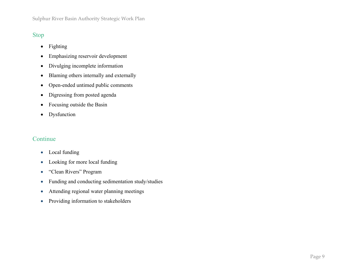## Stop

- Fighting
- Emphasizing reservoir development
- Divulging incomplete information
- Blaming others internally and externally
- Open-ended untimed public comments
- Digressing from posted agenda
- Focusing outside the Basin
- Dysfunction

## Continue

- Local funding
- Looking for more local funding
- "Clean Rivers" Program
- Funding and conducting sedimentation study/studies
- Attending regional water planning meetings
- Providing information to stakeholders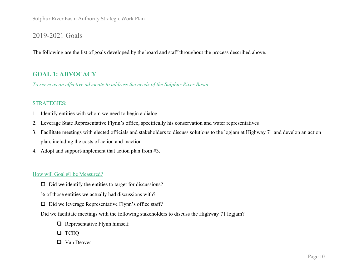# 2019-2021 Goals

The following are the list of goals developed by the board and staff throughout the process described above.

## **GOAL 1: ADVOCACY**

*To serve as an effective advocate to address the needs of the Sulphur River Basin.*

#### STRATEGIES:

- 1. Identify entities with whom we need to begin a dialog
- 2. Leverage State Representative Flynn's office, specifically his conservation and water representatives
- 3. Facilitate meetings with elected officials and stakeholders to discuss solutions to the logjam at Highway 71 and develop an action plan, including the costs of action and inaction
- 4. Adopt and support/implement that action plan from #3.

#### How will Goal #1 be Measured?

- $\Box$  Did we identify the entities to target for discussions?
- % of those entities we actually had discussions with?
- $\Box$  Did we leverage Representative Flynn's office staff?
- Did we facilitate meetings with the following stakeholders to discuss the Highway 71 logjam?
	- $\Box$  Representative Flynn himself
	- **q** TCEQ
	- $\Box$  Van Deaver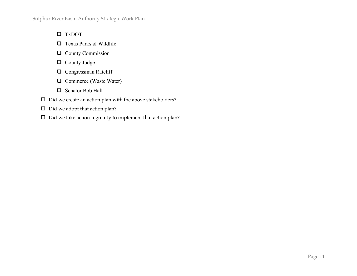- **Q** TxDOT
- $\Box$  Texas Parks & Wildlife
- Q County Commission
- **Q** County Judge
- $\Box$  Congressman Ratcliff
- $\Box$  Commerce (Waste Water)
- □ Senator Bob Hall
- $\square$  Did we create an action plan with the above stakeholders?
- $\Box$  Did we adopt that action plan?
- $\square$  Did we take action regularly to implement that action plan?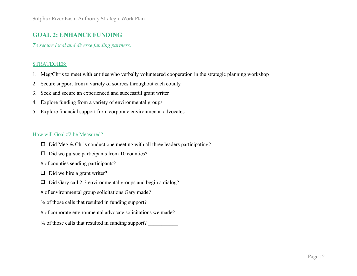## **GOAL 2: ENHANCE FUNDING**

*To secure local and diverse funding partners.*

#### STRATEGIES:

- 1. Meg/Chris to meet with entities who verbally volunteered cooperation in the strategic planning workshop
- 2. Secure support from a variety of sources throughout each county
- 3. Seek and secure an experienced and successful grant writer
- 4. Explore funding from a variety of environmental groups
- 5. Explore financial support from corporate environmental advocates

#### How will Goal #2 be Measured?

- $\Box$  Did Meg & Chris conduct one meeting with all three leaders participating?
- $\Box$  Did we pursue participants from 10 counties?
- # of counties sending participants? \_\_\_\_\_\_\_\_\_\_\_\_\_\_\_\_
- $\Box$  Did we hire a grant writer?
- $\Box$  Did Gary call 2-3 environmental groups and begin a dialog?
- # of environmental group solicitations Gary made?
- % of those calls that resulted in funding support?
- # of corporate environmental advocate solicitations we made?
- % of those calls that resulted in funding support? \_\_\_\_\_\_\_\_\_\_\_\_\_\_\_\_\_\_\_\_\_\_\_\_\_\_\_\_\_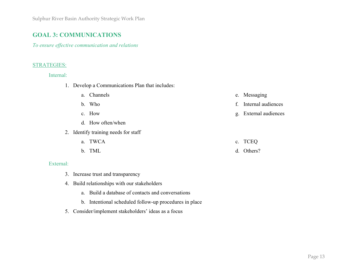## **GOAL 3: COMMUNICATIONS**

*To ensure effective communication and relations*

#### STRATEGIES:

Internal:

- 1. Develop a Communications Plan that includes:
	- a. Channels e. Messaging

f. Internal audiences

g. External audiences

- b. Who
- c. How
- d. How often/when
- 2. Identify training needs for staff
	- a. TWCA b. TML c. TCEQ d. Others?

#### External:

- 3. Increase trust and transparency
- 4. Build relationships with our stakeholders
	- a. Build a database of contacts and conversations
	- b. Intentional scheduled follow-up procedures in place
- 5. Consider/implement stakeholders' ideas as a focus

Page 13